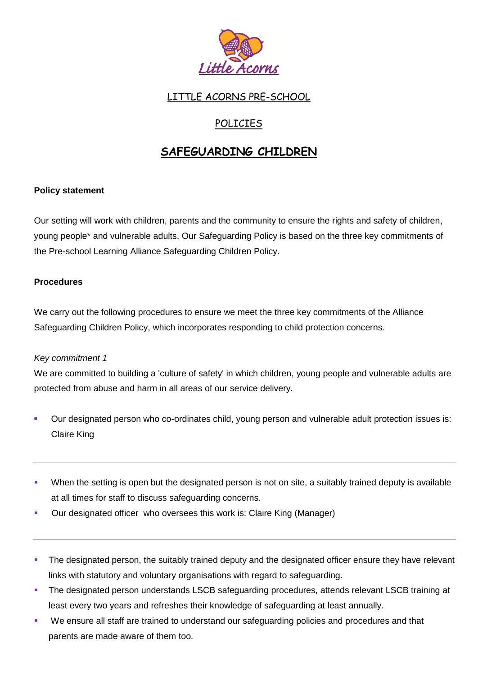

# LITTLE ACORNS PRE-SCHOOL

# POLICIES

# **SAFEGUARDING CHILDREN**

# **Policy statement**

Our setting will work with children, parents and the community to ensure the rights and safety of children, young people\* and vulnerable adults. Our Safeguarding Policy is based on the three key commitments of the Pre-school Learning Alliance Safeguarding Children Policy.

#### **Procedures**

We carry out the following procedures to ensure we meet the three key commitments of the Alliance Safeguarding Children Policy, which incorporates responding to child protection concerns.

#### *Key commitment 1*

We are committed to building a 'culture of safety' in which children, young people and vulnerable adults are protected from abuse and harm in all areas of our service delivery.

- Our designated person who co-ordinates child, young person and vulnerable adult protection issues is: Claire King
- When the setting is open but the designated person is not on site, a suitably trained deputy is available at all times for staff to discuss safeguarding concerns.
- Our designated officer who oversees this work is: Claire King (Manager)
- The designated person, the suitably trained deputy and the designated officer ensure they have relevant links with statutory and voluntary organisations with regard to safeguarding.
- The designated person understands LSCB safeguarding procedures, attends relevant LSCB training at least every two years and refreshes their knowledge of safeguarding at least annually.
- We ensure all staff are trained to understand our safeguarding policies and procedures and that parents are made aware of them too.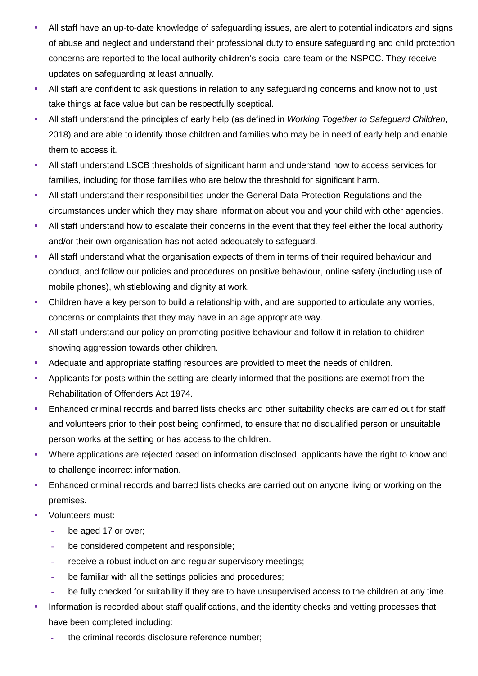- All staff have an up-to-date knowledge of safeguarding issues, are alert to potential indicators and signs of abuse and neglect and understand their professional duty to ensure safeguarding and child protection concerns are reported to the local authority children's social care team or the NSPCC. They receive updates on safeguarding at least annually.
- All staff are confident to ask questions in relation to any safeguarding concerns and know not to just take things at face value but can be respectfully sceptical.
- All staff understand the principles of early help (as defined in *Working Together to Safeguard Children*, 2018) and are able to identify those children and families who may be in need of early help and enable them to access it.
- All staff understand LSCB thresholds of significant harm and understand how to access services for families, including for those families who are below the threshold for significant harm.
- **All staff understand their responsibilities under the General Data Protection Regulations and the** circumstances under which they may share information about you and your child with other agencies.
- All staff understand how to escalate their concerns in the event that they feel either the local authority and/or their own organisation has not acted adequately to safeguard.
- All staff understand what the organisation expects of them in terms of their required behaviour and conduct, and follow our policies and procedures on positive behaviour, online safety (including use of mobile phones), whistleblowing and dignity at work.
- Children have a key person to build a relationship with, and are supported to articulate any worries, concerns or complaints that they may have in an age appropriate way.
- All staff understand our policy on promoting positive behaviour and follow it in relation to children showing aggression towards other children.
- Adequate and appropriate staffing resources are provided to meet the needs of children.
- Applicants for posts within the setting are clearly informed that the positions are exempt from the Rehabilitation of Offenders Act 1974.
- **Enhanced criminal records and barred lists checks and other suitability checks are carried out for staff** and volunteers prior to their post being confirmed, to ensure that no disqualified person or unsuitable person works at the setting or has access to the children.
- Where applications are rejected based on information disclosed, applicants have the right to know and to challenge incorrect information.
- **Enhanced criminal records and barred lists checks are carried out on anyone living or working on the** premises.
- **Volunteers must:** 
	- **-** be aged 17 or over;
	- **-** be considered competent and responsible;
	- **-** receive a robust induction and regular supervisory meetings;
	- **-** be familiar with all the settings policies and procedures;
	- **-** be fully checked for suitability if they are to have unsupervised access to the children at any time.
- Information is recorded about staff qualifications, and the identity checks and vetting processes that have been completed including:
	- **-** the criminal records disclosure reference number;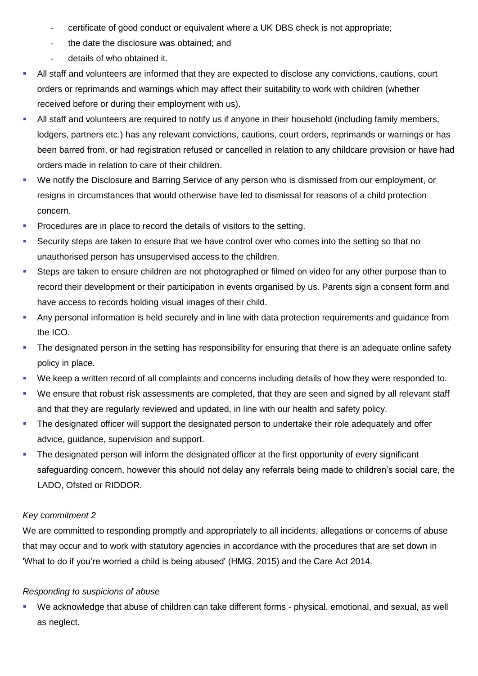- **-** certificate of good conduct or equivalent where a UK DBS check is not appropriate;
- **-** the date the disclosure was obtained; and
- **-** details of who obtained it.
- All staff and volunteers are informed that they are expected to disclose any convictions, cautions, court orders or reprimands and warnings which may affect their suitability to work with children (whether received before or during their employment with us).
- All staff and volunteers are required to notify us if anyone in their household (including family members, lodgers, partners etc.) has any relevant convictions, cautions, court orders, reprimands or warnings or has been barred from, or had registration refused or cancelled in relation to any childcare provision or have had orders made in relation to care of their children.
- We notify the Disclosure and Barring Service of any person who is dismissed from our employment, or resigns in circumstances that would otherwise have led to dismissal for reasons of a child protection concern.
- **Procedures are in place to record the details of visitors to the setting.**
- Security steps are taken to ensure that we have control over who comes into the setting so that no unauthorised person has unsupervised access to the children.
- Steps are taken to ensure children are not photographed or filmed on video for any other purpose than to record their development or their participation in events organised by us. Parents sign a consent form and have access to records holding visual images of their child.
- Any personal information is held securely and in line with data protection requirements and guidance from the ICO.
- The designated person in the setting has responsibility for ensuring that there is an adequate online safety policy in place.
- We keep a written record of all complaints and concerns including details of how they were responded to.
- We ensure that robust risk assessments are completed, that they are seen and signed by all relevant staff and that they are regularly reviewed and updated, in line with our health and safety policy.
- The designated officer will support the designated person to undertake their role adequately and offer advice, guidance, supervision and support.
- The designated person will inform the designated officer at the first opportunity of every significant safeguarding concern, however this should not delay any referrals being made to children's social care, the LADO, Ofsted or RIDDOR.

# *Key commitment 2*

We are committed to responding promptly and appropriately to all incidents, allegations or concerns of abuse that may occur and to work with statutory agencies in accordance with the procedures that are set down in 'What to do if you're worried a child is being abused' (HMG, 2015) and the Care Act 2014.

#### *Responding to suspicions of abuse*

 We acknowledge that abuse of children can take different forms - physical, emotional, and sexual, as well as neglect.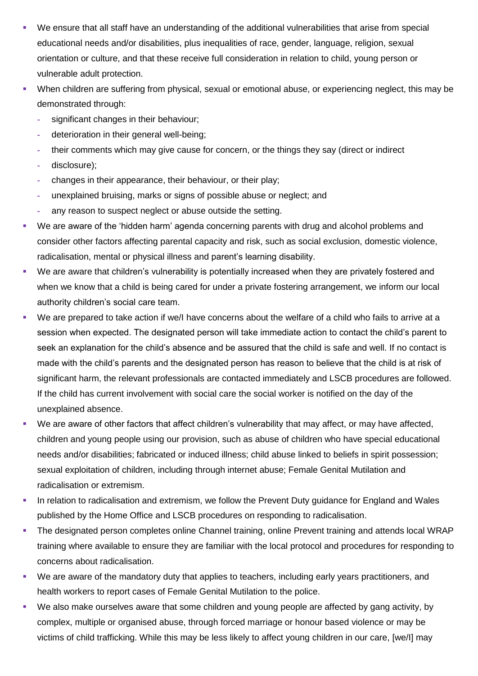- We ensure that all staff have an understanding of the additional vulnerabilities that arise from special educational needs and/or disabilities, plus inequalities of race, gender, language, religion, sexual orientation or culture, and that these receive full consideration in relation to child, young person or vulnerable adult protection.
- When children are suffering from physical, sexual or emotional abuse, or experiencing neglect, this may be demonstrated through:
	- **-** significant changes in their behaviour;
	- **-** deterioration in their general well-being;
	- **-** their comments which may give cause for concern, or the things they say (direct or indirect
	- **-** disclosure);
	- **-** changes in their appearance, their behaviour, or their play;
	- **-** unexplained bruising, marks or signs of possible abuse or neglect; and
	- **-** any reason to suspect neglect or abuse outside the setting.
- We are aware of the 'hidden harm' agenda concerning parents with drug and alcohol problems and consider other factors affecting parental capacity and risk, such as social exclusion, domestic violence, radicalisation, mental or physical illness and parent's learning disability.
- We are aware that children's vulnerability is potentially increased when they are privately fostered and when we know that a child is being cared for under a private fostering arrangement, we inform our local authority children's social care team.
- We are prepared to take action if we/I have concerns about the welfare of a child who fails to arrive at a session when expected. The designated person will take immediate action to contact the child's parent to seek an explanation for the child's absence and be assured that the child is safe and well. If no contact is made with the child's parents and the designated person has reason to believe that the child is at risk of significant harm, the relevant professionals are contacted immediately and LSCB procedures are followed. If the child has current involvement with social care the social worker is notified on the day of the unexplained absence.
- We are aware of other factors that affect children's vulnerability that may affect, or may have affected, children and young people using our provision, such as abuse of children who have special educational needs and/or disabilities; fabricated or induced illness; child abuse linked to beliefs in spirit possession; sexual exploitation of children, including through internet abuse; Female Genital Mutilation and radicalisation or extremism.
- In relation to radicalisation and extremism, we follow the Prevent Duty guidance for England and Wales published by the Home Office and LSCB procedures on responding to radicalisation.
- The designated person completes online Channel training, online Prevent training and attends local WRAP training where available to ensure they are familiar with the local protocol and procedures for responding to concerns about radicalisation.
- We are aware of the mandatory duty that applies to teachers, including early years practitioners, and health workers to report cases of Female Genital Mutilation to the police.
- We also make ourselves aware that some children and young people are affected by gang activity, by complex, multiple or organised abuse, through forced marriage or honour based violence or may be victims of child trafficking. While this may be less likely to affect young children in our care, [we/I] may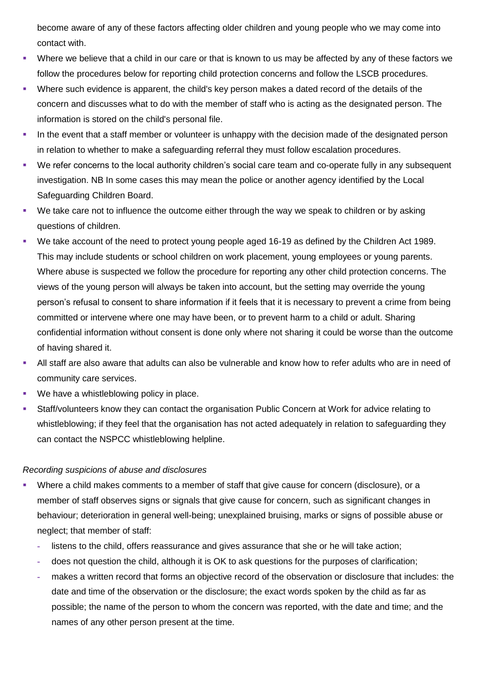become aware of any of these factors affecting older children and young people who we may come into contact with.

- Where we believe that a child in our care or that is known to us may be affected by any of these factors we follow the procedures below for reporting child protection concerns and follow the LSCB procedures.
- Where such evidence is apparent, the child's key person makes a dated record of the details of the concern and discusses what to do with the member of staff who is acting as the designated person. The information is stored on the child's personal file.
- **In the event that a staff member or volunteer is unhappy with the decision made of the designated person** in relation to whether to make a safeguarding referral they must follow escalation procedures.
- We refer concerns to the local authority children's social care team and co-operate fully in any subsequent investigation. NB In some cases this may mean the police or another agency identified by the Local Safeguarding Children Board.
- We take care not to influence the outcome either through the way we speak to children or by asking questions of children.
- We take account of the need to protect young people aged 16-19 as defined by the Children Act 1989. This may include students or school children on work placement, young employees or young parents. Where abuse is suspected we follow the procedure for reporting any other child protection concerns. The views of the young person will always be taken into account, but the setting may override the young person's refusal to consent to share information if it feels that it is necessary to prevent a crime from being committed or intervene where one may have been, or to prevent harm to a child or adult. Sharing confidential information without consent is done only where not sharing it could be worse than the outcome of having shared it.
- All staff are also aware that adults can also be vulnerable and know how to refer adults who are in need of community care services.
- We have a whistleblowing policy in place.
- Staff/volunteers know they can contact the organisation Public Concern at Work for advice relating to whistleblowing; if they feel that the organisation has not acted adequately in relation to safeguarding they can contact the NSPCC whistleblowing helpline.

#### *Recording suspicions of abuse and disclosures*

- Where a child makes comments to a member of staff that give cause for concern (disclosure), or a member of staff observes signs or signals that give cause for concern, such as significant changes in behaviour; deterioration in general well-being; unexplained bruising, marks or signs of possible abuse or neglect; that member of staff:
	- **-** listens to the child, offers reassurance and gives assurance that she or he will take action;
	- **-** does not question the child, although it is OK to ask questions for the purposes of clarification;
	- **-** makes a written record that forms an objective record of the observation or disclosure that includes: the date and time of the observation or the disclosure; the exact words spoken by the child as far as possible; the name of the person to whom the concern was reported, with the date and time; and the names of any other person present at the time.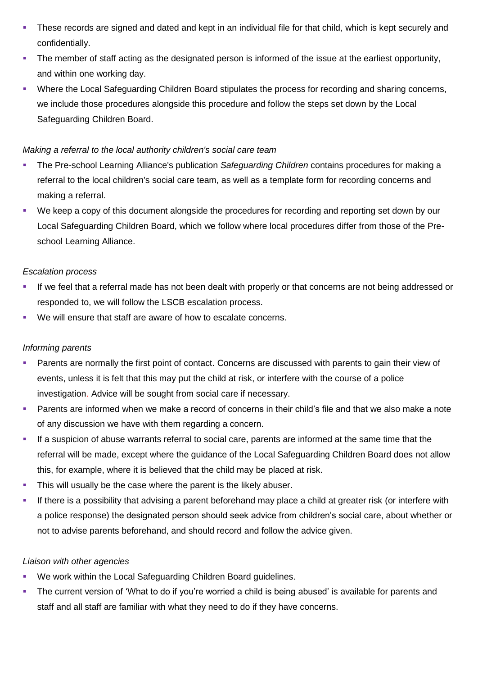- These records are signed and dated and kept in an individual file for that child, which is kept securely and confidentially.
- The member of staff acting as the designated person is informed of the issue at the earliest opportunity, and within one working day.
- Where the Local Safeguarding Children Board stipulates the process for recording and sharing concerns, we include those procedures alongside this procedure and follow the steps set down by the Local Safeguarding Children Board.

#### *Making a referral to the local authority children's social care team*

- The Pre-school Learning Alliance's publication *Safeguarding Children* contains procedures for making a referral to the local children's social care team, as well as a template form for recording concerns and making a referral.
- We keep a copy of this document alongside the procedures for recording and reporting set down by our Local Safeguarding Children Board, which we follow where local procedures differ from those of the Preschool Learning Alliance.

# *Escalation process*

- If we feel that a referral made has not been dealt with properly or that concerns are not being addressed or responded to, we will follow the LSCB escalation process.
- We will ensure that staff are aware of how to escalate concerns.

# *Informing parents*

- Parents are normally the first point of contact. Concerns are discussed with parents to gain their view of events, unless it is felt that this may put the child at risk, or interfere with the course of a police investigation. Advice will be sought from social care if necessary.
- Parents are informed when we make a record of concerns in their child's file and that we also make a note of any discussion we have with them regarding a concern.
- If a suspicion of abuse warrants referral to social care, parents are informed at the same time that the referral will be made, except where the guidance of the Local Safeguarding Children Board does not allow this, for example, where it is believed that the child may be placed at risk.
- This will usually be the case where the parent is the likely abuser.
- If there is a possibility that advising a parent beforehand may place a child at greater risk (or interfere with a police response) the designated person should seek advice from children's social care, about whether or not to advise parents beforehand, and should record and follow the advice given.

#### *Liaison with other agencies*

- We work within the Local Safeguarding Children Board guidelines.
- **The current version of 'What to do if you're worried a child is being abused' is available for parents and** staff and all staff are familiar with what they need to do if they have concerns.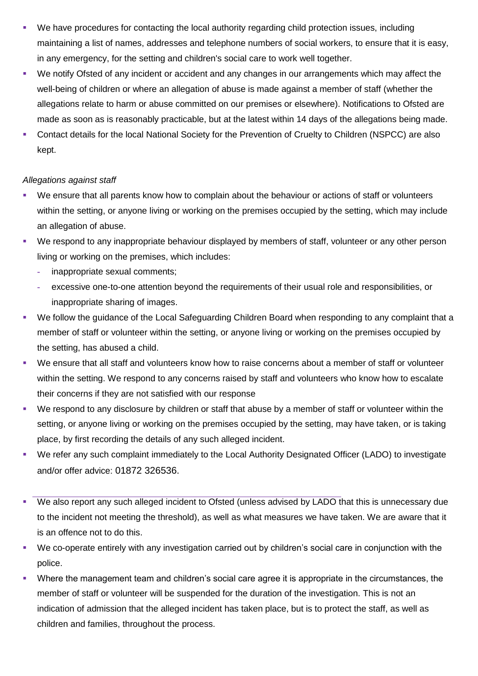- We have procedures for contacting the local authority regarding child protection issues, including maintaining a list of names, addresses and telephone numbers of social workers, to ensure that it is easy, in any emergency, for the setting and children's social care to work well together.
- We notify Ofsted of any incident or accident and any changes in our arrangements which may affect the well-being of children or where an allegation of abuse is made against a member of staff (whether the allegations relate to harm or abuse committed on our premises or elsewhere). Notifications to Ofsted are made as soon as is reasonably practicable, but at the latest within 14 days of the allegations being made.
- Contact details for the local National Society for the Prevention of Cruelty to Children (NSPCC) are also kept.

#### *Allegations against staff*

- We ensure that all parents know how to complain about the behaviour or actions of staff or volunteers within the setting, or anyone living or working on the premises occupied by the setting, which may include an allegation of abuse.
- We respond to any inappropriate behaviour displayed by members of staff, volunteer or any other person living or working on the premises, which includes:
	- **-** inappropriate sexual comments;
	- **-** excessive one-to-one attention beyond the requirements of their usual role and responsibilities, or inappropriate sharing of images.
- We follow the guidance of the Local Safeguarding Children Board when responding to any complaint that a member of staff or volunteer within the setting, or anyone living or working on the premises occupied by the setting, has abused a child.
- We ensure that all staff and volunteers know how to raise concerns about a member of staff or volunteer within the setting. We respond to any concerns raised by staff and volunteers who know how to escalate their concerns if they are not satisfied with our response
- We respond to any disclosure by children or staff that abuse by a member of staff or volunteer within the setting, or anyone living or working on the premises occupied by the setting, may have taken, or is taking place, by first recording the details of any such alleged incident.
- We refer any such complaint immediately to the Local Authority Designated Officer (LADO) to investigate and/or offer advice: 01872 326536.
- We also report any such alleged incident to Ofsted (unless advised by LADO that this is unnecessary due to the incident not meeting the threshold), as well as what measures we have taken. We are aware that it is an offence not to do this.
- We co-operate entirely with any investigation carried out by children's social care in conjunction with the police.
- Where the management team and children's social care agree it is appropriate in the circumstances, the member of staff or volunteer will be suspended for the duration of the investigation. This is not an indication of admission that the alleged incident has taken place, but is to protect the staff, as well as children and families, throughout the process.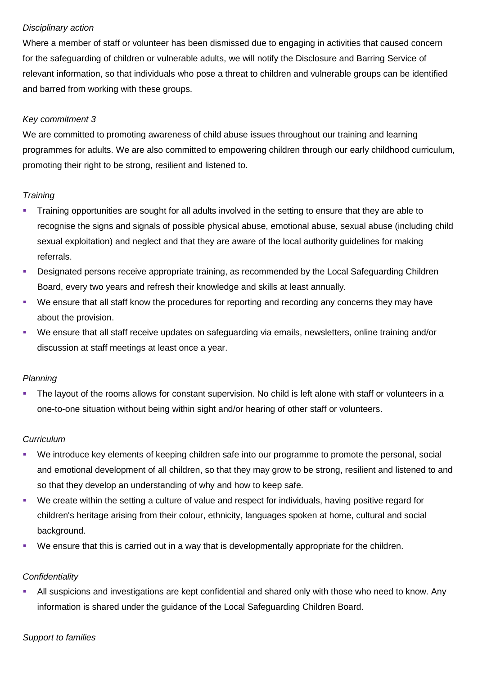#### *Disciplinary action*

Where a member of staff or volunteer has been dismissed due to engaging in activities that caused concern for the safeguarding of children or vulnerable adults, we will notify the Disclosure and Barring Service of relevant information, so that individuals who pose a threat to children and vulnerable groups can be identified and barred from working with these groups.

# *Key commitment 3*

We are committed to promoting awareness of child abuse issues throughout our training and learning programmes for adults. We are also committed to empowering children through our early childhood curriculum, promoting their right to be strong, resilient and listened to.

#### *Training*

- Training opportunities are sought for all adults involved in the setting to ensure that they are able to recognise the signs and signals of possible physical abuse, emotional abuse, sexual abuse (including child sexual exploitation) and neglect and that they are aware of the local authority guidelines for making referrals.
- Designated persons receive appropriate training, as recommended by the Local Safeguarding Children Board, every two years and refresh their knowledge and skills at least annually.
- We ensure that all staff know the procedures for reporting and recording any concerns they may have about the provision.
- We ensure that all staff receive updates on safeguarding via emails, newsletters, online training and/or discussion at staff meetings at least once a year.

#### *Planning*

 The layout of the rooms allows for constant supervision. No child is left alone with staff or volunteers in a one-to-one situation without being within sight and/or hearing of other staff or volunteers.

#### *Curriculum*

- We introduce key elements of keeping children safe into our programme to promote the personal, social and emotional development of all children, so that they may grow to be strong, resilient and listened to and so that they develop an understanding of why and how to keep safe.
- We create within the setting a culture of value and respect for individuals, having positive regard for children's heritage arising from their colour, ethnicity, languages spoken at home, cultural and social background.
- We ensure that this is carried out in a way that is developmentally appropriate for the children.

#### *Confidentiality*

 All suspicions and investigations are kept confidential and shared only with those who need to know. Any information is shared under the guidance of the Local Safeguarding Children Board.

#### *Support to families*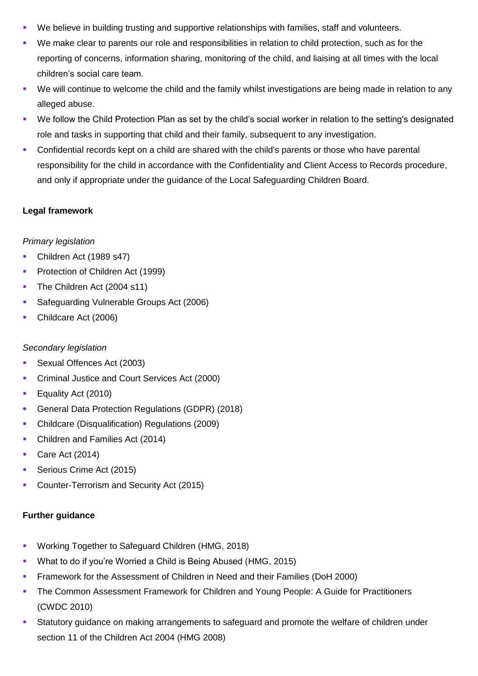- We believe in building trusting and supportive relationships with families, staff and volunteers.
- We make clear to parents our role and responsibilities in relation to child protection, such as for the reporting of concerns, information sharing, monitoring of the child, and liaising at all times with the local children's social care team.
- We will continue to welcome the child and the family whilst investigations are being made in relation to any alleged abuse.
- We follow the Child Protection Plan as set by the child's social worker in relation to the setting's designated role and tasks in supporting that child and their family, subsequent to any investigation.
- Confidential records kept on a child are shared with the child's parents or those who have parental responsibility for the child in accordance with the Confidentiality and Client Access to Records procedure, and only if appropriate under the guidance of the Local Safeguarding Children Board.

#### **Legal framework**

#### *Primary legislation*

- Children Act (1989 s47)
- **Protection of Children Act (1999)**
- The Children Act (2004 s11)
- **Safeguarding Vulnerable Groups Act (2006)**
- Childcare Act (2006)

# *Secondary legislation*

- Sexual Offences Act (2003)
- **Criminal Justice and Court Services Act (2000)**
- **Equality Act (2010)**
- General Data Protection Regulations (GDPR) (2018)
- Childcare (Disqualification) Regulations (2009)
- Children and Families Act (2014)
- Care Act  $(2014)$
- Serious Crime Act (2015)
- **Counter-Terrorism and Security Act (2015)**

# **Further guidance**

- **Working Together to Safeguard Children (HMG, 2018)**
- What to do if you're Worried a Child is Being Abused (HMG, 2015)
- Framework for the Assessment of Children in Need and their Families (DoH 2000)
- **The Common Assessment Framework for Children and Young People: A Guide for Practitioners** (CWDC 2010)
- Statutory guidance on making arrangements to safeguard and promote the welfare of children under section 11 of the Children Act 2004 (HMG 2008)